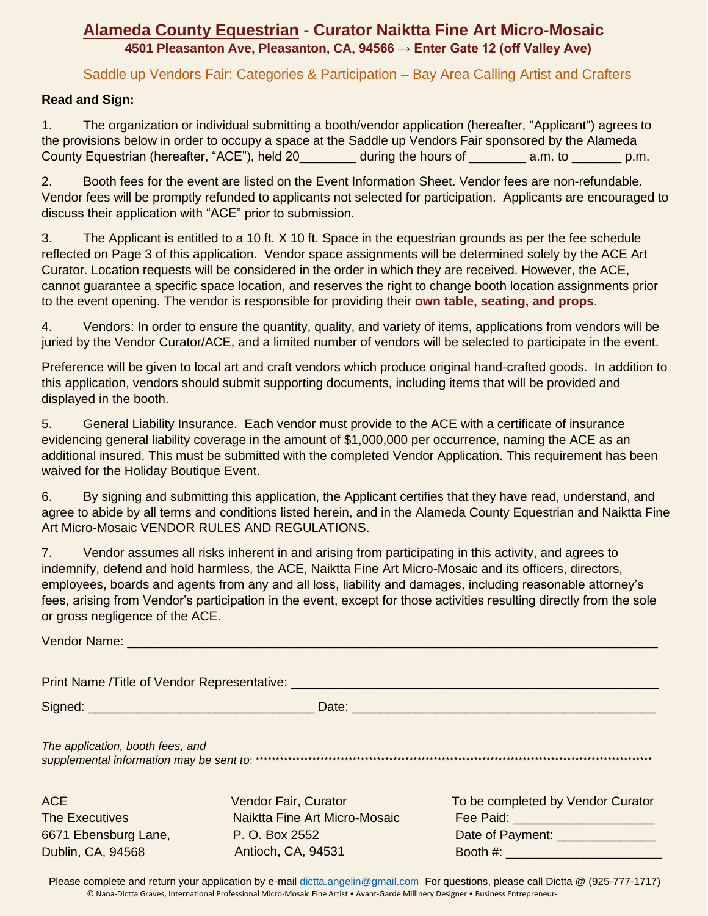## **Alameda County Equestrian - Curator Naiktta Fine Art Micro-Mosaic 4501 Pleasanton Ave, Pleasanton, CA, 94566 → Enter Gate 12 (off Valley Ave)**

Saddle up Vendors Fair: Categories & Participation – Bay Area Calling Artist and Crafters

#### **Read and Sign:**

1. The organization or individual submitting a booth/vendor application (hereafter, "Applicant") agrees to the provisions below in order to occupy a space at the Saddle up Vendors Fair sponsored by the Alameda County Equestrian (hereafter, "ACE"), held 20\_\_\_\_\_\_\_\_ during the hours of \_\_\_\_\_\_\_\_ a.m. to \_\_\_\_\_\_\_ p.m.

2. Booth fees for the event are listed on the Event Information Sheet. Vendor fees are non-refundable. Vendor fees will be promptly refunded to applicants not selected for participation. Applicants are encouraged to discuss their application with "ACE" prior to submission.

3. The Applicant is entitled to a 10 ft. X 10 ft. Space in the equestrian grounds as per the fee schedule reflected on Page 3 of this application. Vendor space assignments will be determined solely by the ACE Art Curator. Location requests will be considered in the order in which they are received. However, the ACE, cannot guarantee a specific space location, and reserves the right to change booth location assignments prior to the event opening. The vendor is responsible for providing their **own table, seating, and props**.

4. Vendors: In order to ensure the quantity, quality, and variety of items, applications from vendors will be juried by the Vendor Curator/ACE, and a limited number of vendors will be selected to participate in the event.

Preference will be given to local art and craft vendors which produce original hand-crafted goods. In addition to this application, vendors should submit supporting documents, including items that will be provided and displayed in the booth.

5. General Liability Insurance. Each vendor must provide to the ACE with a certificate of insurance evidencing general liability coverage in the amount of \$1,000,000 per occurrence, naming the ACE as an additional insured. This must be submitted with the completed Vendor Application. This requirement has been waived for the Holiday Boutique Event.

6. By signing and submitting this application, the Applicant certifies that they have read, understand, and agree to abide by all terms and conditions listed herein, and in the Alameda County Equestrian and Naiktta Fine Art Micro-Mosaic VENDOR RULES AND REGULATIONS.

7. Vendor assumes all risks inherent in and arising from participating in this activity, and agrees to indemnify, defend and hold harmless, the ACE, Naiktta Fine Art Micro-Mosaic and its officers, directors, employees, boards and agents from any and all loss, liability and damages, including reasonable attorney's fees, arising from Vendor's participation in the event, except for those activities resulting directly from the sole or gross negligence of the ACE.

| <b>Vendor Name:</b> We have a state of the state of the state of the state of the state of the state of the state of the state of the state of the state of the state of the state of the state of the state of the state of the st |                                                                                                      |                                                                                                            |
|-------------------------------------------------------------------------------------------------------------------------------------------------------------------------------------------------------------------------------------|------------------------------------------------------------------------------------------------------|------------------------------------------------------------------------------------------------------------|
|                                                                                                                                                                                                                                     |                                                                                                      |                                                                                                            |
|                                                                                                                                                                                                                                     |                                                                                                      |                                                                                                            |
| The application, booth fees, and                                                                                                                                                                                                    |                                                                                                      |                                                                                                            |
| <b>ACE</b><br><b>The Executives</b><br>6671 Ebensburg Lane,<br>Dublin, CA, 94568                                                                                                                                                    | <b>Vendor Fair, Curator</b><br>Naiktta Fine Art Micro-Mosaic<br>P. O. Box 2552<br>Antioch, CA, 94531 | To be completed by Vendor Curator<br>Fee Paid: _______________________<br>Date of Payment: _______________ |

Please complete and return your application by e-mail [dictta.angelin@gmail.com](mailto:dictta.angelin@gmail.com) For questions, please call Dictta @ (925-777-1717) © Nana-Dictta Graves, International Professional Micro-Mosaic Fine Artist • Avant-Garde Millinery Designer • Business Entrepreneur-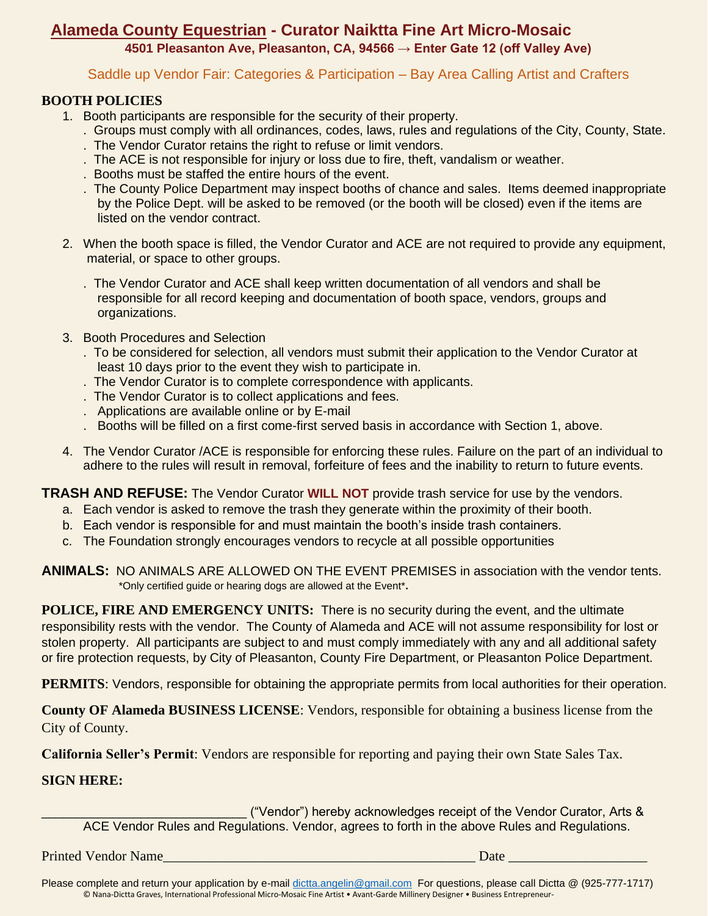# **Alameda County Equestrian - Curator Naiktta Fine Art Micro-Mosaic**

**4501 Pleasanton Ave, Pleasanton, CA, 94566 → Enter Gate 12 (off Valley Ave)**

Saddle up Vendor Fair: Categories & Participation – Bay Area Calling Artist and Crafters

#### **BOOTH POLICIES**

- 1. Booth participants are responsible for the security of their property.
	- . Groups must comply with all ordinances, codes, laws, rules and regulations of the City, County, State.
	- . The Vendor Curator retains the right to refuse or limit vendors.
	- . The ACE is not responsible for injury or loss due to fire, theft, vandalism or weather.
	- . Booths must be staffed the entire hours of the event.
	- . The County Police Department may inspect booths of chance and sales. Items deemed inappropriate by the Police Dept. will be asked to be removed (or the booth will be closed) even if the items are listed on the vendor contract.
- 2. When the booth space is filled, the Vendor Curator and ACE are not required to provide any equipment, material, or space to other groups.
	- . The Vendor Curator and ACE shall keep written documentation of all vendors and shall be responsible for all record keeping and documentation of booth space, vendors, groups and organizations.
- 3. Booth Procedures and Selection
	- . To be considered for selection, all vendors must submit their application to the Vendor Curator at least 10 days prior to the event they wish to participate in.
	- . The Vendor Curator is to complete correspondence with applicants.
	- . The Vendor Curator is to collect applications and fees.
	- . Applications are available online or by E-mail
	- . Booths will be filled on a first come-first served basis in accordance with Section 1, above.
- 4. The Vendor Curator /ACE is responsible for enforcing these rules. Failure on the part of an individual to adhere to the rules will result in removal, forfeiture of fees and the inability to return to future events.

**TRASH AND REFUSE:** The Vendor Curator **WILL NOT** provide trash service for use by the vendors.

- a. Each vendor is asked to remove the trash they generate within the proximity of their booth.
- b. Each vendor is responsible for and must maintain the booth's inside trash containers.
- c. The Foundation strongly encourages vendors to recycle at all possible opportunities

**ANIMALS:** NO ANIMALS ARE ALLOWED ON THE EVENT PREMISES in association with the vendor tents. \*Only certified guide or hearing dogs are allowed at the Event\***.**

**POLICE, FIRE AND EMERGENCY UNITS:** There is no security during the event, and the ultimate responsibility rests with the vendor. The County of Alameda and ACE will not assume responsibility for lost or stolen property. All participants are subject to and must comply immediately with any and all additional safety or fire protection requests, by City of Pleasanton, County Fire Department, or Pleasanton Police Department.

**PERMITS**: Vendors, responsible for obtaining the appropriate permits from local authorities for their operation.

**County OF Alameda BUSINESS LICENSE**: Vendors, responsible for obtaining a business license from the City of County.

**California Seller's Permit**: Vendors are responsible for reporting and paying their own State Sales Tax.

### **SIGN HERE:**

\_\_\_\_\_\_\_\_\_\_\_\_\_\_\_\_\_\_\_\_\_\_\_\_\_\_\_\_\_ ("Vendor") hereby acknowledges receipt of the Vendor Curator, Arts & ACE Vendor Rules and Regulations. Vendor, agrees to forth in the above Rules and Regulations.

Printed Vendor Name\_\_\_\_\_\_\_\_\_\_\_\_\_\_\_\_\_\_\_\_\_\_\_\_\_\_\_\_\_\_\_\_\_\_\_\_\_\_\_\_\_\_\_\_\_ Date \_\_\_\_\_\_\_\_\_\_\_\_\_\_\_\_\_\_\_\_

Please complete and return your application by e-mail [dictta.angelin@gmail.com](mailto:dictta.angelin@gmail.com) For questions, please call Dictta @ (925-777-1717) © Nana-Dictta Graves, International Professional Micro-Mosaic Fine Artist • Avant-Garde Millinery Designer • Business Entrepreneur-